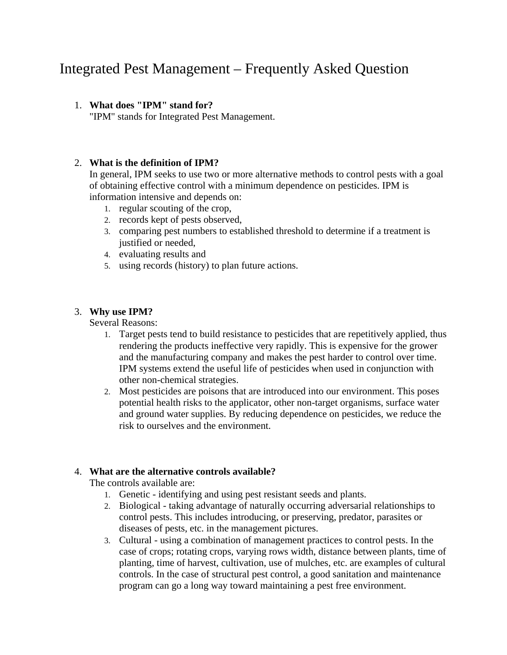# Integrated Pest Management – Frequently Asked Question

## 1. **What does "IPM" stand for?**

"IPM" stands for Integrated Pest Management.

#### 2. **What is the definition of IPM?**

In general, IPM seeks to use two or more alternative methods to control pests with a goal of obtaining effective control with a minimum dependence on pesticides. IPM is information intensive and depends on:

- 1. regular scouting of the crop,
- 2. records kept of pests observed,
- 3. comparing pest numbers to established threshold to determine if a treatment is justified or needed,
- 4. evaluating results and
- 5. using records (history) to plan future actions.

### 3. **Why use IPM?**

Several Reasons:

- 1. Target pests tend to build resistance to pesticides that are repetitively applied, thus rendering the products ineffective very rapidly. This is expensive for the grower and the manufacturing company and makes the pest harder to control over time. IPM systems extend the useful life of pesticides when used in conjunction with other non-chemical strategies.
- 2. Most pesticides are poisons that are introduced into our environment. This poses potential health risks to the applicator, other non-target organisms, surface water and ground water supplies. By reducing dependence on pesticides, we reduce the risk to ourselves and the environment.

#### 4. **What are the alternative controls available?**

The controls available are:

- 1. Genetic identifying and using pest resistant seeds and plants.
- 2. Biological taking advantage of naturally occurring adversarial relationships to control pests. This includes introducing, or preserving, predator, parasites or diseases of pests, etc. in the management pictures.
- 3. Cultural using a combination of management practices to control pests. In the case of crops; rotating crops, varying rows width, distance between plants, time of planting, time of harvest, cultivation, use of mulches, etc. are examples of cultural controls. In the case of structural pest control, a good sanitation and maintenance program can go a long way toward maintaining a pest free environment.